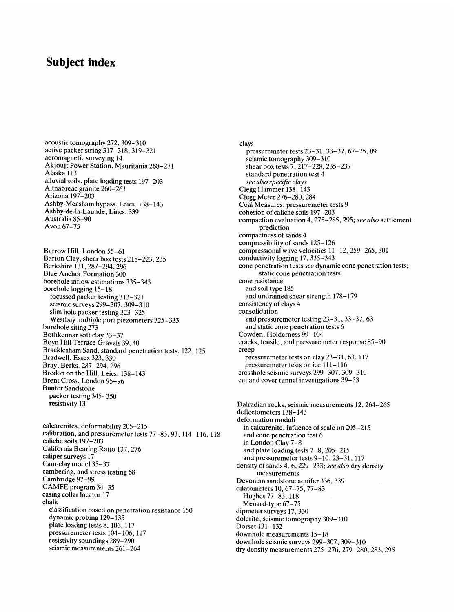## **Subject index**

acoustic tomography 272,309-310 active packer string 317-318,319-321 aeromagnetic surveying 14 Akjoujt Power Station, Mauritania 268-271 Alaska 113 alluvial soils, plate loading tests 197-203 Altnabreac granite 260-261 Arizona 197-203 Ashby-Measham bypass, Leics. 138-143 Ashby-de-la-Launde, Lincs. 339 Australia 85-90 Avon 67-75

Barrow Hill, London 55-61 Barton Clay, shear box tests 218-223,235 Berkshire 131,287-294,296 Blue Anchor Formation 300 borehole inflow estimations 335-343 borehole logging 15-18 focussed packer testing 313-321 seismic surveys 299-307, 309-310 slim hole packer testing 323-325 Westbay multiple port piezometers 325-333 borehole siting 273 Bothkennar soft clay 33-37 Boyn Hill Terrace Gravels 39, 40 Bracklesham Sand, standard penetration tests, 122,125 Bradwell, Essex 323,330 Bray, Berks. 287-294, 296 Bredon on the Hill, Leics. 138-143 Brent Cross, London 95-96 Bunter Sandstone packer testing 345-350 resistivity 13

calcarenites, deformability 205-215 calibration, and pressuremeter tests 77-83, 93,114-116, 118 caliche soils 197-203 California Bearing Ratio 137,276 caliper surveys 17 Cam-clay model 35-37 cambering, and stress testing 68 Cambridge 97-99 CAMFE program 34-35 casing collar locator 17 chalk classification based on penetration resistance 150 dynamic probing 129-135 plate loading tests 8, 106, 117 pressuremeter tests 104-106, 117 resistivity soundings 289-290 seismic measurements 261-264

clays pressuremeter tests 23-31,33-37, 67-75, 89 seismic tomography 309-310 shear box tests 7, 217-228, 235-237 standard penetration test 4 *see also specific clays*  Clegg Hammer 138-143 Clegg Meter 276-280,284 Coal Measures, pressuremeter tests 9 cohesion of caliche soils 197-203 compaction evaluation 4,275-285,295; *see also* settlement prediction compactness of sands 4 compressibility of sands 125-126 compressional wave velocities 11-12, 259-265, 301 conductivity logging 17,335-343 cone penetration tests *see* dynamic cone penetration tests; static cone penetration tests cone resistance and soil type 185 and undrained shear strength 178-179 consistency of clays 4 consolidation and pressuremeter testing 23-31, 33-37, 63 and static cone penetration tests 6 Cowden, Holderness 99-104 cracks, tensile, and pressuremeter response 85-90 creep pressuremeter tests on clay 23-31, 63, 117 pressuremeter tests on ice 111-116 crosshole seismic surveys 299-307,309-310 cut and cover tunnel investigations 39-53

Dalradian rocks, seismic measurements 12,264-265 deflectometers 138-143 deformation moduli in calcarenite, infuence of scale on 205-215 and cone penetration test 6 in London Clay 7-8 and plate loading tests 7-8,205-215 and pressuremeter tests 9-10, 23-31,117 density of sands 4, 6,229-233; *see also* dry density measurements Devonian sandstone aquifer 336,339 dilatometers 10, 67-75, 77-83 Hughes 77-83,118 Menard-type 67-75 dipmeter surveys 17,330 dolerite, seismic tomography 309-310 Dorset 131-132 downhole measurements 15-18 downhole seismic surveys 299-307, 309-310

dry density measurements 275-276,279-280,283,295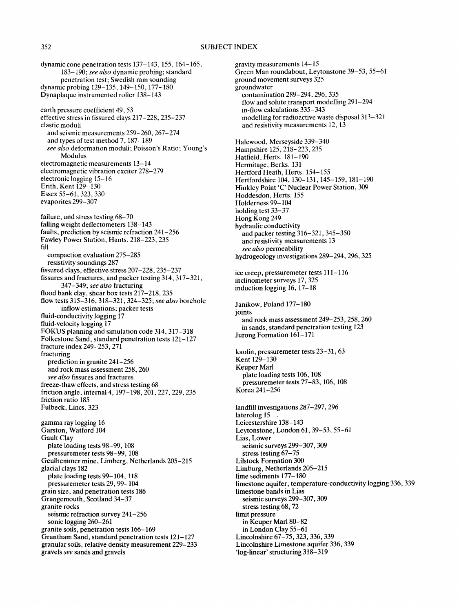dynamic cone penetration tests 137-143,155,164-165, 183-190; *see also* dynamic probing; standard penetration test; Swedish ram sounding dynamic probing 129-135,149-150,177-180 Dynaplaque instrumented roller 138-143 earth pressure coefficient 49, 53 effective stress in fissured clays 217-228, 235-237 elastic moduli and seismic measurements 259-260,267-274 and types of test method 7, 187-189 *see also* deformation moduli; Poisson's Ratio; Young's Modulus electromagnetic measurements 13-14 electromagnetic vibration exciter 278-279 electronic logging 15-16 Erith, Kent  $129 - 130$ Essex 55-61,323,330 evaporites 299-307 failure, and stress testing 68-70 falling weight deflectometers 138-143 faults, prediction by seismic refraction 241-256 Fawley Power Station, Hants. 218-223, 235 fill compaction evaluation 275-285 resistivity soundings 287 fissured clays, effective stress 207-228, 235-237 fissures and fractures, and packer testing 314,317-321, 347-349; *see also* fracturing flood bank clay, shear box tests 217-218,235 flow tests 315-316, 318-321,324-325; *see also* borehole inflow estimations; packer tests fluid-conductivity logging 17 fluid-velocity logging 17 FOKUS planning and simulation code 314,317-318 Folkestone Sand, standard penetration tests 121-127 fracture index 249-253,271 fracturing prediction in granite 241-256 and rock mass assessment 258,260 *see also* fissures and fractures freeze-thaw effects, and stress testing 68 friction angle, internal 4,197-198,201,227,229,235 friction ratio 185 Fulbeck, Lincs. 323 gamma ray logging 16 Garston, Watford 104 Gault Clay plate loading tests 98-99, 108 pressuremeter tests 98-99,108 Geulhemmer mine, Limberg, Netherlands 205-215 glacial clays 182 plate loading tests 99-104, 118 pressuremeter tests 29, 99-104 grain size, and penetration tests 186 Grangemouth, Scotland 34-37 granite rocks seismic refraction survey 241-256 sonic logging 260-261 granite soils, penetration tests 166-169 Grantham Sand, standard penetration tests 121-127 granular soils, relative density measurement 229-233 gravels *see* sands and gravels

gravity measurements 14-15 Green Man roundabout, Leytonstone 39-53, 55-61 ground movement surveys 325 groundwater contamination 289-294,296, 335 flow and solute transport modelling 291-294 in-flow calculations 335-343 modelling for radioactive waste disposal 313-321 and resistivity measurements 12, 13 Halewood, Merseyside 339-340 Hampshire 125, 218-223, 235 Hatfieid, Herts. 181-190 Hermitage, Berks. 131 Hertford Heath, Herts. 154-155 Hertfordshire 104, 130-131, 145-159, 181-190 Hinkley Point 'C' Nuclear Power Station, 309 Hoddesdon, Herts. 155 Holderness 99-104 holding test 33-37 Hong Kong 249 hydraulic conductivity and packer testing 316-321,345-350 and resistivity measurements 13 *see also* permeability hydrogeology investigations 289-294,296,325 ice creep, pressuremeter tests 111-116 inclinometer surveys 17,325 induction logging 16, 17-18 Janikow, Poland 177-180 joints and rock mass assessment 249-253,258,260 in sands, standard penetration testing 123 Jurong Formation 161-171 kaolin, pressuremeter tests 23-31, 63 Kent 129-130 Keuper Marl plate loading tests 106, 108 pressuremeter tests 77-83,106, 108 Korea 241-256 landfill investigations 287-297, 296 laterolog 15 Leicestershire 138-143 Leytonstone, London 61, 39-53, 55-61 Lias, Lower seismic surveys 299-307, 309 stress testing 67-75 Lilstock Formation 300 Limburg, Netherlands 205-215 lime sediments 177-180 limestone aquifer, temperature-conductivity logging 336,339 limestone bands in Lias seismic surveys 299-307, 309 stress testing 68, 72 limit pressure in Keuper Marl 80-82 in London Clay 55-61 Lincolnshire 67-75,323,336, 339 Lincolnshire Limestone aquifer 336,339 'log-linear' structuring 318-319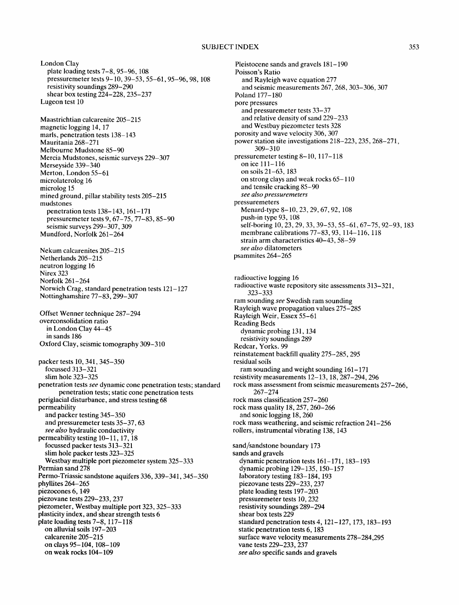#### SUBJECT INDEX 353

London Clay plate loading tests 7-8, 95-96, 108 pressuremeter tests 9-10, 39-53, 55-61,95-96, 98, 108 resistivity soundings 289-290 shear box testing 224-228,235-237 Lugeon test 10 Maastrichtian calcarenite 205-215 magnetic logging 14, 17 marls, penetration tests 138-143 Mauritania 268-271 Melbourne Mudstone 85-90 Mercia Mudstones, seismic surveys 229-307 Merseyside 339-340 Merton, London 55-61 microlaterolog 16 microlog 15 mined ground, pillar stability tests 205-215 mudstones penetration tests 138-143,161-171 pressuremeter tests 9, 67-75, 77-83, 85-90 seismic surveys 299-307, 309 Mundford, Norfolk 261-264 Nekum calcarenites 205-215 Netherlands 205-215 neutron logging 16 Nirex 323 Norfolk 261-264 Norwich Crag, standard penetration tests 121-127 Nottinghamshire 77-83, 299-307 Offset Wenner technique 287-294 overconsolidation ratio in London Clay 44-45 in sands 186 Oxford Clay, seismic tomography 309-310 packer tests 10, 341, 345-350 focussed 313-321 slim hole 323-325 penetration tests *see* dynamic cone penetration tests; standard penetration tests; static cone penetration tests periglacial disturbance, and stress testing 68 permeability and packer testing 345-350 and pressuremeter tests 35-37, 63 *see also* hydraulic conductivity permeability testing 10-11, 17, 18 focussed packer tests 313-321 slim hole packer tests 323-325 Westbay multiple port piezometer system 325-333 Permian sand 278 Permo-Triassic sandstone aquifers 336, 339-341, 345-350 phyllites 264-265 piezocones 6, 149 piezovane tests 229-233,237 piezometer, Westbay multiple port 323,325-333 plasticity index, and shear strength tests 6 plate loading tests 7-8, 117-118 on alluvial soils 197-203 calcarenite 205-215 on clays 95-104, 108-109 on weak rocks 104-109

Pleistocene sands and gravels 181-190 Poisson's Ratio and Rayleigh wave equation 277 and seismic measurements 267,268,303-306,307 Poland 177-180 pore pressures and pressuremeter tests 33-37 and relative density of sand 229-233 and Westbay piezometer tests 328 porosity and wave velocity 306, 307 power station site investigations 218-223,235,268-271, 309-310 pressuremeter testing 8-10, 117-118 on ice 111-116 on soils 21-63,183 on strong clays and weak rocks 65-110 and tensile cracking 85-90 *see also pressuremeters*  pressuremeters Menard-type 8-10, 23, 29, 67, 92, 108 push-in type 93,108 self-boring 10, 23, 29, 33, 39-53, 55-61, 67-75, 92-93,183 membrane calibrations 77-83, 93, 114-116, 118 strain arm characteristics 40-43, 58-59 *see also* dilatometers psammites 264-265 radioactive logging 16 radioactive waste repository site assessments 313-321, 323-333 ram sounding *see* Swedish ram sounding Rayleigh wave propagation values 275-285 Rayleigh Weir, Essex 55-61 Reading Beds dynamic probing 131,134 resistivity soundings 289 Redcar, Yorks. 99 reinstatement backfill quality 275-285,295 residual soils ram sounding and weight sounding 161-171 resistivity measurements 12-13, 18,287-294,296 rock mass assessment from seismic measurements 257-266, 267-274 rock mass classification 257-260 rock mass quality 18,257,260-266 and sonic logging 18,260 rock mass weathering, and seismic refraction 241-256 rollers, instrumental vibrating 138, 143 sand/sandstone boundary 173 sands and gravels dynamic penetration tests 161-171,183-193 dynamic probing 129-135,150-157 laboratory testing 183-184, 193 piezovane tests 229-233,237 plate loading tests 197-203 pressuremeter tests 10, 232 resistivity soundings 289-294 shear box tests 229 standard penetration tests 4, 121-127, 173,183-193 static penetration tests 6, 183 surface wave velocity measurements 278-284,295 vane tests 229-233, 237 *see also* specific sands and gravels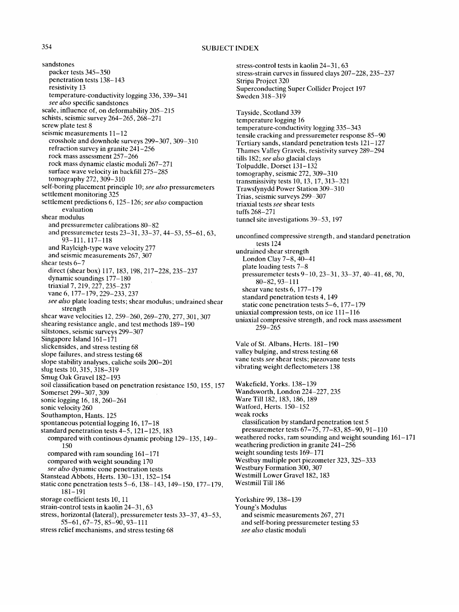### 354 SUBJECT INDEX

stress-control tests in kaolin 24-31, 63

sandstones packer tests 345-350 penetration tests 138-143 resistivity 13 temperature-conductivity logging 336,339-341 *see also* specific sandstones scale, influence of, on deformability 205-215 schists, seismic survey 264-265, 268-271 screw plate test 8 seismic measurements 11-12 crosshole and downhole surveys 299-307,309-310 refraction survey in granite 241-256 rock mass assessment 257-266 rock mass dynamic elastic moduli 267-271 surface wave velocity in backfill 275-285 tomography 272, 309-310 self-boring placement principle 10; *see also* pressuremeters settlement monitoring 325 settlement predictions 6, 125-126; *see also* compaction evaluation shear modulus and pressuremeter calibrations 80-82 and pressuremeter tests 23-31, 33-37, 44-53, 55-61, 63, 93-111,117-118 and Rayleigh-type wave velocity 277 and seismic measurements 267,307 shear tests 6-7 direct (shear box) 117, 183, 198, 217-228, 235-237 dynamic soundings 177-180 triaxial 7,219,227,235-237 vane 6, 177-179, 229-233, 237 *see also* plate loading tests; shear modulus; undrained shear strength shear wave velocities 12,259-260,269-270,277,301,307 shearing resistance angle, and test methods 189-190 siltstones, seismic surveys 299-307 Singapore Island 161-171 slickensides, and stress testing 68 slope failures, and stress testing 68 slope stability analyses, caliche soils 200-201 slug tests 10, 315, 318-319 Smug Oak Gravel 182-193 soil classification based on penetration resistance 150, 155,157 Somerset 299-307,309 sonic logging 16, 18, 260-261 sonic velocity 260 Southampton, Hants. 125 spontaneous potential logging 16, 17-18 standard penetration tests 4-5,121-125,183 compared with continous dynamic probing 129-135,149- 150 compared with ram sounding 161-171 compared with weight sounding 170 *see also* dynamic cone penetration tests Stanstead Abbots, Herts. 130-131,152-154 static cone penetration tests 5-6, 138-143, 149-150, 177-179, 181-191 storage coefficient tests 10, 11 strain-control tests in kaolin 24-31, 63 stress, horizontal (lateral), pressuremeter tests 33-37, 43-53, 55-61, 67-75, 85-90, 93-111 stress relief mechanisms, and stress testing 68

stress-strain curves in fissured clays 207-228,235-237 Stripa Project 320 Superconducting Super Collider Project 197 Sweden 318-319 Tayside, Scotland 339 temperature logging 16 temperature-conductivity logging 335-343 tensile cracking and pressuremeter response 85-90 Tertiary sands, standard penetration tests 121-127 Thames Valley Gravels, resistivity survey 289-294 tills 182; *see also* glacial clays Tolpuddle, Dorset 131-132 tomography, seismic 272, 309-310 transmissivity tests 10, 13, 17,313-321 Trawsfynydd Power Station 309-310 Trias, seismic surveys 299-307 triaxial tests *see* shear tests tufts 268-271 tunnel site investigations 39-53,197 unconfined compressive strength, and standard penetration tests 124 undrained shear strength London Clay 7-8, 40-41 plate loading tests 7-8 pressuremeter tests 9-10, 23-31, 33-37, 40-41, 68, 70, 80-82, 93-111 shear vane tests 6, 177-179 standard penetration tests 4, 149 static cone penetration tests 5-6,177-179 uniaxial compression tests, on ice 111-116 uniaxial compressive strength, and rock mass assessment 259-265 Vale of St. Albans, Herts. 181-190 valley bulging, and stress testing 68 vane tests *see* shear tests; piezovane tests vibrating weight deflectometers 138 Wakefield, Yorks. 138-139 Wandsworth, London 224-227, 235 Ware Till 182, 183, 186, 189 Watford, Herts. 150-152 weak rocks classification by standard penetration test 5 pressuremeter tests 67-75, 77-83, 85-90, 91-110 weathered rocks, ram sounding and weight sounding 161-171 weathering prediction in granite 241-256 weight sounding tests 169-171 Westbay multiple port piezometer 323,325-333 Westbury Formation 300, 307 Westmill Lower Gravel 182, 183 Westmill Till 186 Yorkshire 99,138-139 Young's Modulus and seismic measurements 267,271 and self-boring pressuremeter testing 53 *see also* elastic moduli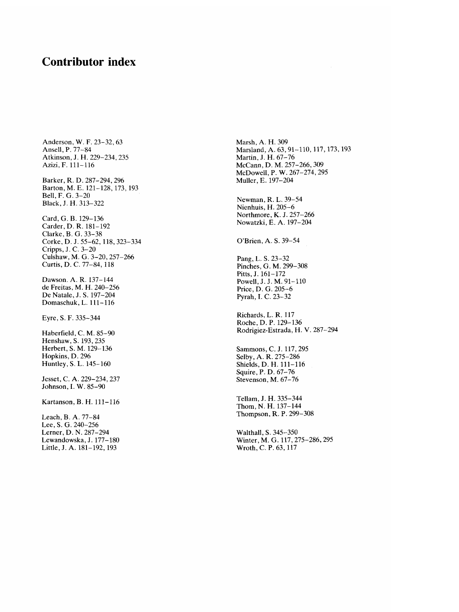## **Contributor index**

Anderson, W. F. 23-32, 63 Ansell, P. 77-84 Atkinson, J. H. 229-234,235 Azizi, F. 111-116 Barker, R. D. 287-294,296 Barton, M. E. 121-128,173,193 Bell, F. G. 3-20 Black, J. H. 313-322 Card, G. B. 129-136 Carder, D. R. 181-192 Clarke, B. G. 33-38 Corke, D. J. 55-62, 118, 323-334 Cripps, J. C. 3-20 Culshaw, M. G. 3-20,257-266 Curtis, D. C. 77-84, 118 Dawson. A. R. 137-144 de Freitas, M. H. 240-256 De Natale, J. S. 197-204 Domaschuk, L. 111-116 Eyre, S. F. 335-344 Haberfield, C. M. 85-90 Henshaw, S. 193,235 Herbert, S. M. 129-136 Hopkins, D. 296 Huntley, S. L. 145-160

Jesset, C. A. 229-234,237 Johnson, I. W. 85-90

Kartanson, B. H. 111-116

Leach, B. A. 77-84 Lee, S. G. 240-256 Lerner, D. N. 287-294 Lewandowska, J. 177-180 Little, J. A. 181-192,193

Marsh, A. H. 309 Marsland, A. 63, 91-110, 117, 173, 193 Martin, J. H. 67-76 McCann, D. M. 257-266,309 McDowell, P. W. 267-274,295 Muller, E. 197-204

Newman, R. L. 39-54 Nienhuis, H. 205-6 Northmore, K. J. 257-266 Nowatzki, E. A. 197-204

O'Brien, A. S. 39-54

Pang, L. S. 23-32 Pinches, G. M. 299-308 Pitts, J. 161-172 Powell, J. J. M. 91-110 Price, D. G. 205-6 Pyrah, I. C. 23-32

Richards, L. R. 117 Roche, D. P. 129-136 Rodrigiez-Estrada, H. V. 287-294

Sammons, C. J. 117,295 Selby, A. R. 275-286 Shields, D. H. 111-116 Squire, P. D. 67-76 Stevenson, M. 67-76

Tellam, J. H. 335-344 Thom, N. H. 137-144 Thompson, R. P. 299-308

Walthall, S. 345-350 Winter, M. G. 117,275-286, 295 Wroth, C. P. 63,117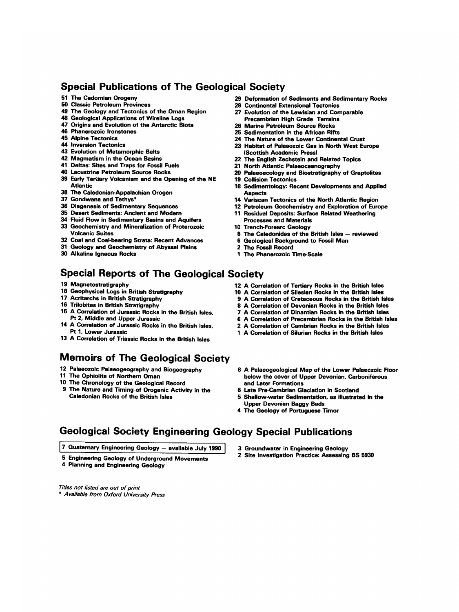## Special Publications of The Geological Society

- 
- 
- 49 The Geology and Tectonics of the Oman Region
- 48 Geological Applications of Wireline Logs
- 47 Origins and Evolution of the Antarctic Biota
- 46 Plhanerozoic Ironstones
- 45 Alpine Tectonics
- 44 Inversion Tectonics
- 43 Evolution of Metamorphic Belts
- 42 Magmatism in the Ocean Basins
- 41 Deltas: Sites and Traps for Fossil Fuels
- 46 Lacustrine Petroleum Source Rocks 39 Early Tertiary Volcanism and the Opening of the NE
- Atlantic 38 The Caledonian-Appalachian Orogen
- 
- 37 Gondwana and Tethys\*
- 36 Diagenesis of Sedimentary Sequences
- 35 Desert Sediments: Ancient and Modern
- 34 Fluid Flow in Sedimentary Basins and Aquifers
- 33 Geochemistry and Mineralization of Proterozoic Volcanic Suites
- 32 Coal and Coal-bearing Strata: Recent Advances
- 31 Geology and Geochemistry of Abyssal Plains
- 30 Alkaline Igneous Rocks

## **Special Reports of The Geological Society**

- 19 Magnetostratigraphy
- 18 Geophysical Logs in British Stratigraphy
- 17 Acritarchs in-British Stratigraphy
- 16 Trilobites in British Stratigraphy
- 15 A Correlation of Jurassic Rocks in the British Isles, Pt 2, Middle and Upper Jurassic
- 14 A Correlation of Jurassic Rocks in the British Isles, Pt 1, Lower Jurassic
- 13 A Correlation of Triassic Rocks in the British Isles

# Memoirs of The Geological Society

- 12 Palaeozoic Palaeogeography and Biogeography
- 11 The Ophiolite of Northern Oman
- 10 The Chronology of the Geological Record
- 9 The Nature and Timing of Orogenic Activity in the Caledonian Rocks of the British Isles
- 51 The Cadomian Orogeny 29 Deformation of Sediments and Sedimentary Rocks<br>50 Classic Petroleum Provinces 28 Continental Extensional Tectonics
	- 28 Continental Extensional Tectonics
	- 27 Evolution of the Lewisian and Comparable **Precambrian High Grade Terrains**
	- 26 Marine Petroleum Source Rocks
	- 25 Sedimentation in the African Rifts
	- 24 The Nature of the Lower Continental Crust 23 Habitat of Palaeozoic Gas in North West Europe (Scottish Academic Press)
	- 22 The English Zechstein and Related Topics
	- 21 North Atlantic Palaeoceanography
	- 20 Paleeoecology and Biostratigraphy of Graptolites
	- 19 Collision Tectonics
	- 18 Sedimentology: Recent Developments and Applied Aspects
	- 14 Variscan Tectonics of the North Atlantic Region
	- 12 Petroleum Geochemistry and Exploration of Europe **11** Residual Deposits: Surface Related Weathering
	- Processes and Materials 10 Trench-Forearc Geology
	- 8 The Caledonides of the British Isles reviewed
	- 6 Geological Background to Fossil Man
	- 2 The Fossil Record
	- 1 The Phanerozoic Time-Scale
	- 12 A Correlation of Tertiary Rocks in the British Isles
	- 10 A Correlation of Silesian Rocks in the British Isles
	- 9 A Correlation of Cretaceous Rocks in the British Isles
	- 8 A Correlation of Devonian Rocks in the British Isles
	- 7 A Correlation of Dinantian Rocks in the British Isles
	- 6 A Correlation of Precambrian Rocks in the British Isles 2 A Correlation of Cambrian Rocks in the British Isles
	- 1 A Correlation of Silurian Rocks in the British Isles
	-
	- 8 A Palaeogeological Map of the Lower Palaeozoic Roor below the cover of Upper Devonian, Carboniferous and Later Formations
	- 6 Late Pre-Cambrian Glaciation in Scotland
	- 5 Shallow-water Sedimentation, as illustrated in the Upper Devonian Baggy Beds
	- 4 The Geology of Portuguese Timor

# **Geological Society Engineering Geology Special Publications**

7 Quaternary Engineering Geology - available July 1990

- 5 Engineering Geology of Underground Movements
- 4 Planning and Engineering Geology
- 3 Groundwater in Engineering Geology
- 2 Site Investigation Practice: Assessing BS 5930

*Titles not listed are out of print \* Available from Oxford University Press*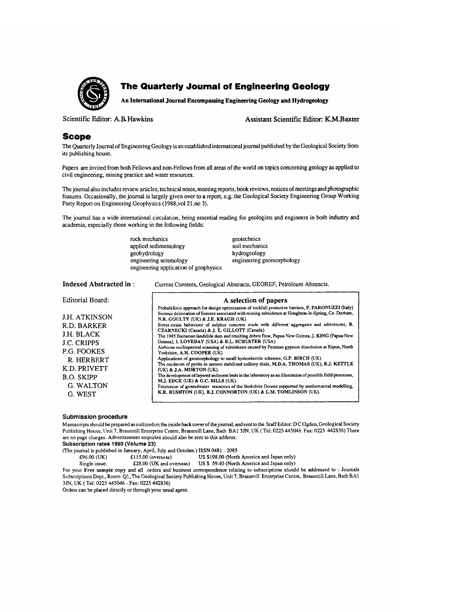

## **O The Quarterly Journal of Engineering Geology**

**An International Journal Encompassing Engineering Geology and Hydrogeology** 

Scientific Editor: A,B. Hawkins Assistant Scientific Editor: K,M, Baxter

#### **Scope**

The Quarterly Journal of Engineering Geology is an established international journal published bythe Geological Society from its publishing house.

Papers are invited from both Fellows and non-Fellows from all areas of the world on topics concerning geology as applied to civil engineering, mining practice and water resources.

The journal also includes review articles, technical notes, meeting reports, book reviews, notices of meetings and photographic features. Occasionally, the journal is largely given over to a report, e.g. the Geological Society Engineering Group Working Party Report on Engineering Geophysics (1988,vol 21,no 3).

The journal has a wide international circulation, being essential reading for geologists and engineers in both industry and academia, especially those working in the following fields:

> rock mechanics applied sedimentology geohydrology engineering seismology engineering application of geophysics geotechnics soil mechanics hydrogeology engineering geomorphology

Indexed Abstracted in : Current Contents, Geological Abstracts, GEOREF, Petroleum Abstracts.

| Editorial Board:                                                                                                                                                         | A selection of papers<br>Probabilistic approach for design optimization of rockfall protective barriers, P. PARONUZZI (Italy)                                                                                                                                                                                                                                                                                                                                                                                                                                                                                                                                                                                                                                                                                                                                                                                                                                                                                                                                                                                             |
|--------------------------------------------------------------------------------------------------------------------------------------------------------------------------|---------------------------------------------------------------------------------------------------------------------------------------------------------------------------------------------------------------------------------------------------------------------------------------------------------------------------------------------------------------------------------------------------------------------------------------------------------------------------------------------------------------------------------------------------------------------------------------------------------------------------------------------------------------------------------------------------------------------------------------------------------------------------------------------------------------------------------------------------------------------------------------------------------------------------------------------------------------------------------------------------------------------------------------------------------------------------------------------------------------------------|
| <b>J.H. ATKINSON</b><br>R.D. BARKER<br>J.H. BLACK<br><b>J.C. CRIPPS</b><br><b>P.G. FOOKES</b><br>R. HERBERT<br>K.D. PRIVETT<br><b>B.O. SKIPP</b><br>G. WALTON<br>G. WEST | Seismic delineation of fissures associated with mining subsidence at Houghton-le-Spring, Co. Durham,<br>N.R. GOULTY (UK) & J.E. KRAGH (UK)<br>Stress-strain behaviour of sulphur concrete made with different aggregates and admixtures, B.<br>CZARNECKI (Canada) & J. E. GILLOTT (Canada)<br>The 1985 Bairaman landslide dam and resulting debris flow, Papua New Guinea, J. KING (Papua New<br>Guinea), I. LOVEDAY (USA) & R.L. SCHUSTER (USA)<br>Airborne multispectral scanning of subsidence caused by Permian gypsum dissolution at Ripon, North<br>Yorkshire, A.H. COOPER (UK)<br>Applications of geomorphology to small hydroelectric schemes, G.P. BIRCH (UK)<br>The oxidation of pyrite in cement stabilized colliery shale, M.D.A. THOMAS (UK), R.J. KETTLE<br>(UK) & J.A. MORTON (UK).<br>The development of layered sediment beds in the laboratory as an illustration of possible field processes,<br>M.J. EDGE (UK) & G.C. SILLS (UK).<br>Estimation of groundwater resources of the Berkshire Downs supported by mathematical modelling,<br>K.R. RUSHTON (UK), B.J. CONNORTON (UK) & L.M. TOMLINSON (UK). |
|                                                                                                                                                                          |                                                                                                                                                                                                                                                                                                                                                                                                                                                                                                                                                                                                                                                                                                                                                                                                                                                                                                                                                                                                                                                                                                                           |

#### **Submission procedure**

Manuscripts should be prepared as outlined on the inside back cover of the journal, and sent to the Staff Editor: D C Ogden, Geological Society Publishing House, Unit 7, Brassmill Enterprise Centre, Brassmill Lane, Bath BA1 3JN, UK ( Tel: 0225 445046 Fax: 0225 442836) There are no page charges. Advertisement enquiries should also be sent to this address.

**Subscription rates 1990 (Volume 23)** 

```
(The journal is published in January, April, July and October.) ISSN 0481 - 2085
```
£96.00 (UK) £115.00 (overseas) US \$198.00 (North America and Japan only)<br>Single issue: £28.00 (UK and overseas) US \$59.40 (North America and Japan only)

US \$ 59.40 (North America and Japan only)

For your Free sample copy and all orders and business correspondence relating to subscriptions should be addressed to : Journals Subscriptions Dept., Room Q1, The Geological Society Publishing House, Unit 7, Brassmill Enterprise Centre, Brassmill Lane, Bath BA1 3JN, UK ( Tel: 0225 445046 - Fax: 0225 442836)

Orders can be placed directly or through your usual agent.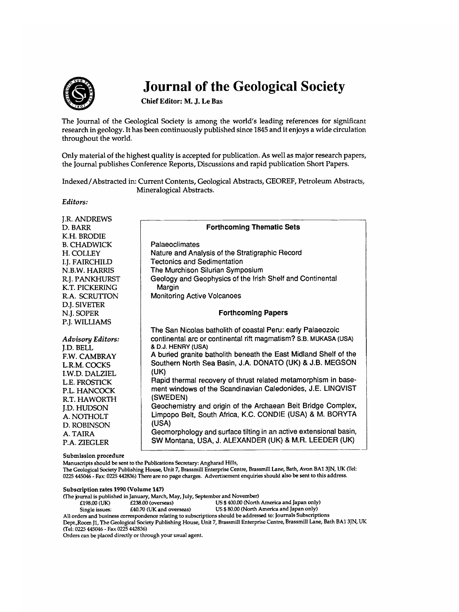

# **@ Journal of the Geological Society**

**Chief Editor: M. J. Le Bas** 

The Journal of the Geological Society is among the world's leading references for significant research in geology. It has been continuously published since 1845 and it enjoys a wide circulation throughout the world.

Only material of the highest quality is accepted for publication. As well as major research papers, the Journal publishes Conference Reports, Discussions and rapid publication Short Papers.

Indexed/Abstracted in: Current Contents, Geological Abstracts, GEOREF, Petroleum Abstracts, Mineralogical Abstracts.

*Editors:* 

| J.R. ANDREWS             |                                                                   |  |  |
|--------------------------|-------------------------------------------------------------------|--|--|
| D. BARR                  | <b>Forthcoming Thematic Sets</b>                                  |  |  |
| K.H. BRODIE              |                                                                   |  |  |
| <b>B. CHADWICK</b>       | Palaeoclimates                                                    |  |  |
| H. COLLEY                | Nature and Analysis of the Stratigraphic Record                   |  |  |
| I.J. FAIRCHILD           | <b>Tectonics and Sedimentation</b>                                |  |  |
| N.B.W. HARRIS            | The Murchison Silurian Symposium                                  |  |  |
| R.I. PANKHURST           | Geology and Geophysics of the Irish Shelf and Continental         |  |  |
| K.T. PICKERING           | Margin                                                            |  |  |
| R.A. SCRUTTON            | <b>Monitoring Active Volcanoes</b>                                |  |  |
| D.I. SIVETER             |                                                                   |  |  |
| N.I. SOPER               | <b>Forthcoming Papers</b>                                         |  |  |
| P.J. WILLIAMS            |                                                                   |  |  |
|                          | The San Nicolas batholith of coastal Peru: early Palaeozoic       |  |  |
| <b>Advisory Editors:</b> | continental arc or continental rift magmatism? S.B. MUKASA (USA)  |  |  |
| <b>I.D. BELL</b>         | & D.J. HENRY (USA)                                                |  |  |
| F.W. CAMBRAY             | A buried granite batholith beneath the East Midland Shelf of the  |  |  |
| L.R.M. COCKS             | Southern North Sea Basin, J.A. DONATO (UK) & J.B. MEGSON          |  |  |
| I.W.D. DALZIEL           | (UK)                                                              |  |  |
| L.E. FROSTICK            | Rapid thermal recovery of thrust related metamorphism in base-    |  |  |
| P.L. HANCOCK             | ment windows of the Scandinavian Caledonides, J.E. LINQVIST       |  |  |
| R.T. HAWORTH             | (SWEDEN)                                                          |  |  |
| <b>J.D. HUDSON</b>       | Geochemistry and origin of the Archaean Beit Bridge Complex,      |  |  |
| A. NOTHOLT               | Limpopo Belt, South Africa, K.C. CONDIE (USA) & M. BORYTA         |  |  |
| D. ROBINSON              | (USA)                                                             |  |  |
| A. TAIRA                 | Geomorphology and surface tilting in an active extensional basin, |  |  |
| <b>P.A. ZIEGLER</b>      | SW Montana, USA, J. ALEXANDER (UK) & M.R. LEEDER (UK)             |  |  |
|                          |                                                                   |  |  |

**Submission procedure** 

Manuscripts should be sent to the Publications Secretary: Angharad Hills,

The Geological Society Publishing House, Unit 7, Brassmill Enterprise Centre, Brassmill Lane, Bath, Avon BA1 3JN, UK (Tel: 0225 445046 - Fax" 0225 442836) There are no page charges. Advertisement enquiries should also be sent to this address.

#### **Subscription rates 1990 (Volume 147)**

(The journal is published in January, March, May, July, September and November)<br>£198.00 (UK) £238.00 (overseas) US \$400.00 (North

£238.00 (overseas) US\$400.00 (North America and Japan only)<br>£40.70 (UK and overseas) US\$80.00 (North America and Japan only)

Single issues: £40.70 (UK and overseas) US \$ 80.00 (North America and Japan only)

All orders and business correspondence relating to subscriptions should be addressed to: Journals Subscriptions Dept.,Room J1, The Geological Society Publishing House, Unit 7, Brassmill Enterprise Centre, Brassmill Lane, Bath BA1 3JN, UK (Tel: 0225 445046 - Fax 0225 442836)

Orders can be placed directly or through your usual agent.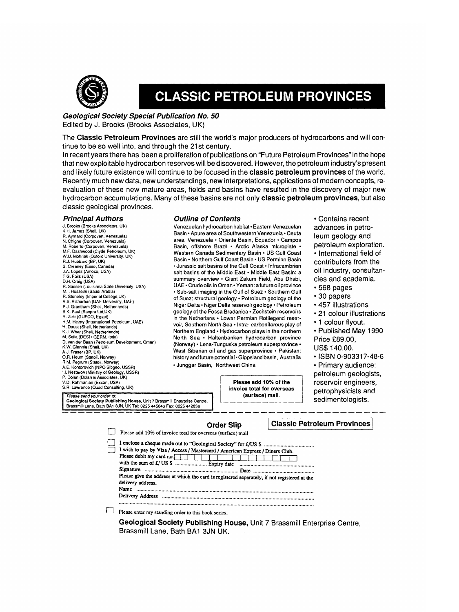

# **CLASSIC PETROLEUM PROVINCES**

#### *Geological Society Special Publication No. 50*  **Edited by J. Brooks (Brooks Associates, UK)**

**The Classic Petroleum Provinces are still the world's major producers of hydrocarbons and will continue to be so well into, and through the 21st century.** 

**In recent years there has been a proliferation of publications on "Future Petroleum Provinces" in the hope that new exploitable hydrocarbon reserves will be discovered. However, the petroleum industry's present and likely future existence will continue to be focused in the classic petroleum provinces of the world. Recently much new data, new understandings, new interpretations, applications of modern concepts, reevaluation of these new mature areas, fields and basins have resulted in the discovery of major new hydrocarbon accumulations. Many of these basins are not only classic petroleum provinces, but also classic geological provinces.** 

#### *Principal Authors*

J. Brooks (Brooks Associates, UK) K.H. James (Shell, UK) R. Aymard (Corpoven, Venezuela) N. Chigne (Corpoven, Venezuela) M. Roberto (Corpoven, Venezuela)<br>M. Roberto (Corpoven, Venezuela)<br>M.F. Dashwood (Clyde Petroleum, UK) M.F. Dashwood (Clyde Petroleum, UK)<br>W.U. Mohriak (Oxford University, UK)<br>R.J. Hubbard (BP, UK) S. Creaney (Esso, Canada) J.A. Lopez (Amoco, USA) T.G. Fails (USA) D.H. Craig (USA) R. Sassen (Louisiana State University, USA) M.I. Husseini (Saudi Arabia) R. Stoneley (Imperial College,UK) A.S. Alsharhan (UAE University, UAE) P.J. Grantham (Shell, Netherlands) S.K. Paul (Sanpra Ltd,UK)<br>R. Zaki (GUPCO, Egypt) H,M. Helmy (International Petroleum, UAE)<br>H. Doust (Shell, Netherlands) K.J. Wber (Shell, Netherlands)<br>M. Sella (DESI / GERM, Italy) D. van der Baan (Petroleum Development, Oman) K.W. Glennie (Shell, UK) A,J, Fraser (BP, UK) O.R. Heum (Statoil, Norway) R.M. Peg*rum (Statoil, Norway)*<br>A.E. Kontorovich (NPO Sibgeo, USSR) I.I. Nesterov (Ministry of Geology, USSR) P. Dolan (Dolan & Associates, UK) V.D. Rahmanian (Exxon, USA) S.R Lawrence (Quad Consulting, UK)

#### *Outline of Contents*

Venezuelan hydrocarbon habitat- Eastern Venezuelan Basin · Apure area of Southwestern Venezuela · Ceuta area, Venezuela • Oriente Basin, Equador - Campos Basin, offshore Brazil • Arctic Alaska microplate **\***  Western Canada Sedimentary Basin \* US Gulf Coast Basin **•** Northern Gulf Coast Basin \* US Permian Basin • Jurassic salt basins of the Gulf Coast • Infracambrian salt basins of the Middle East • Middle East Basin: a summary overview • Giant Zakum Field, Abu Dhabi, UAE • Crude oils in Oman • Yeman: a future oil province • Sub-salt imaging in the Gulf of Suez • Southern Gulf of Suez: structural geology • Petroleum geology of the Niger Delta • Niger Delta reservoir geology • Petroleum geology of the Fossa Bradanica . Zechstein reservoirs in the Netherlans . Lower Permian Rotliegend reservoir, Southern North Sea ° Intra- carboniferous play of Northern England ° Hydrocarbon plays in the northern North Sea - Haltenbanken hydrocarbon province (Norway) ° Lena-Tunguska petroleum superprovince \* West Siberian oil and gas superprovince · Pakistan: history and future potential . Gippsland basin, Australia - Junggar Basin, Northwest China

**Please add 10% of the invoice total for overseas**  *I Please sendyourorder to:* I (surface) mail. Geological **Society Publishing House,** Unit 7 Brassmill Enterprise Centre, Brassmill Lane, Bath BA1 3JN, UK Tel: 0225 445046 Fax: 0225 442836

**• Contains recent advances in petroleum geology and petroleum exploration. • International field of contributors from the oil industry, consultancies and academia.** 

- **568 pages**
- **30 papers**
- **457 illustrations**
- **° 21 colour illustrations**
- **1 colour flyout.**

**• Published May 1990 Price £89.00,** 

- **US\$140.00.**
- **ISBN 0-903317-48-6**

**• Primary audience: petroleum geologists, reservoir engineers, petrophysicists and sedimentologists.** 

|                                                                                              | <b>Order Slip</b> | <b>Classic Petroleum Provinces</b> |
|----------------------------------------------------------------------------------------------|-------------------|------------------------------------|
| Please add 10% of invoice total for overseas (surface) mail                                  |                   |                                    |
|                                                                                              |                   |                                    |
| I wish to pay by Visa / Access / Mastercard / American Express / Diners Club.                |                   |                                    |
| Please debit my card no.                                                                     |                   |                                    |
| with the sum of £/ US \$  Expiry date                                                        |                   |                                    |
| Signature                                                                                    |                   |                                    |
| Please give the address at which the card is registered separately, if not registered at the |                   |                                    |
| delivery address.                                                                            |                   |                                    |
| Name                                                                                         |                   |                                    |
| Delivery Address                                                                             |                   |                                    |
|                                                                                              |                   |                                    |
| Please enter my standing order to this book sories                                           |                   |                                    |

standing order to this book series.

**Geological Society Publishing House, Unit 7** Brassmill Enterprise Centre, **Brassmill Lane, Bath BAt 3JN UK.**